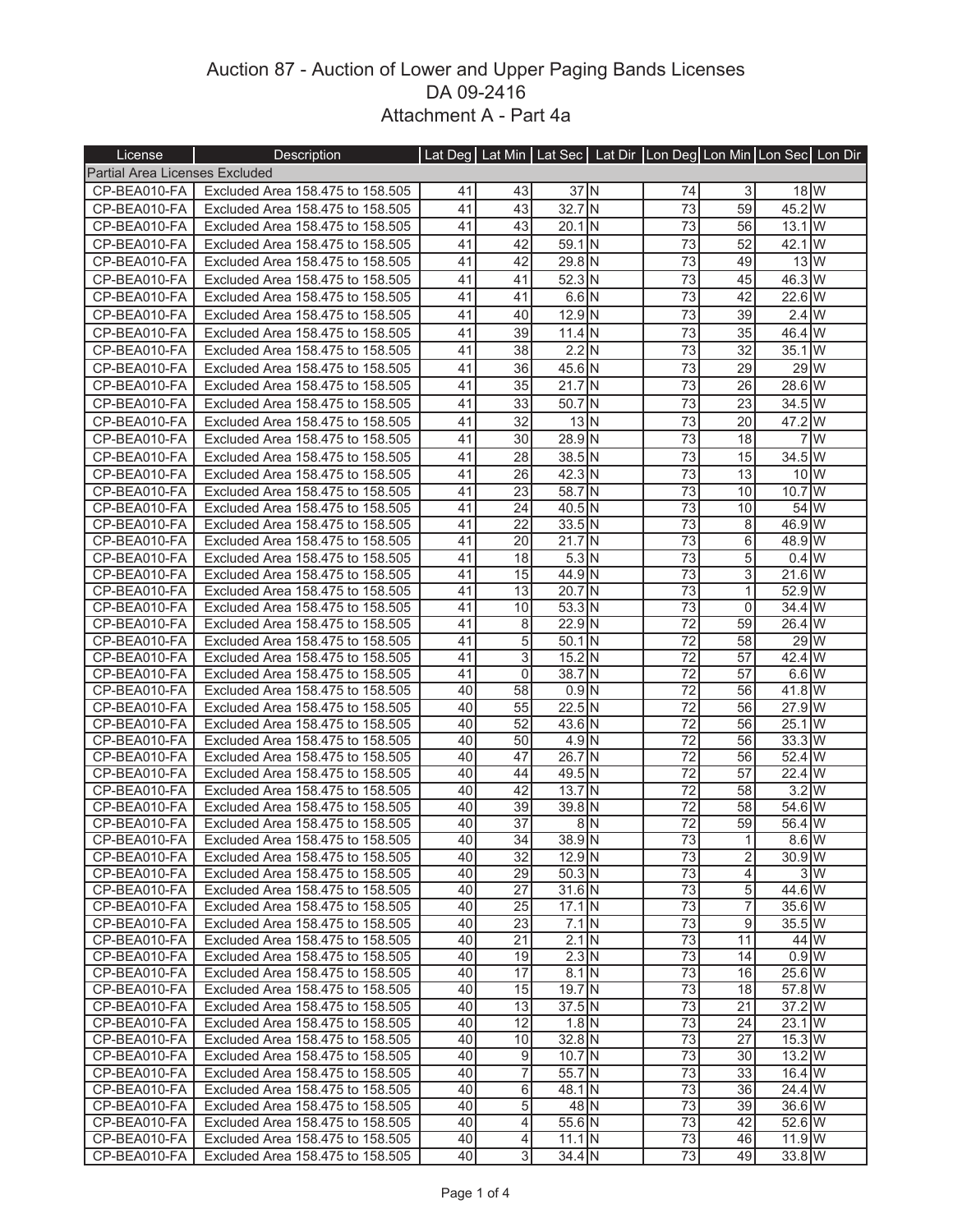## Auction 87 - Auction of Lower and Upper Paging Bands Licenses DA 09-2416 Attachment A - Part 4a

| License                        | Description                                                          |          |                |                           |    | Lat Deg   Lat Min   Lat Sec   Lat Dir   Lon Deg   Lon Min   Lon Sec   Lon Dir |                 |                           |                 |
|--------------------------------|----------------------------------------------------------------------|----------|----------------|---------------------------|----|-------------------------------------------------------------------------------|-----------------|---------------------------|-----------------|
| Partial Area Licenses Excluded |                                                                      |          |                |                           |    |                                                                               |                 |                           |                 |
| CP-BEA010-FA                   | Excluded Area 158.475 to 158.505                                     | 41       | 43             | $37$ N                    |    | 74                                                                            | $\mathsf 3$     | $18$ W                    |                 |
| CP-BEA010-FA                   | Excluded Area 158.475 to 158.505                                     | 41       | 43             | $32.7\overline{\text{N}}$ |    | 73                                                                            | 59              | 45.2 W                    |                 |
| CP-BEA010-FA                   | Excluded Area 158,475 to 158,505                                     | 41       | 43             | $20.1$ N                  |    | 73                                                                            | 56              | $13.1$ W                  |                 |
| CP-BEA010-FA                   | Excluded Area 158.475 to 158.505                                     | 41       | 42             | 59.1 N                    |    | 73                                                                            | 52              | 42.1 W                    |                 |
| CP-BEA010-FA                   | Excluded Area 158.475 to 158.505                                     | 41       | 42             | 29.8 N                    |    | 73                                                                            | 49              | $13\overline{\text{W}}$   |                 |
| CP-BEA010-FA                   | Excluded Area 158.475 to 158.505                                     | 41       | 41             | 52.3 N                    |    | 73                                                                            | 45              | 46.3 W                    |                 |
| CP-BEA010-FA                   | Excluded Area 158.475 to 158.505                                     | 41       | 41             | $6.6$ N                   |    | 73                                                                            | 42              | 22.6 W                    |                 |
| CP-BEA010-FA                   | Excluded Area 158.475 to 158.505                                     | 41       | 40             | $12.9$ N                  |    | 73                                                                            | 39              | $2.4$ W                   |                 |
| CP-BEA010-FA                   | Excluded Area 158.475 to 158.505                                     | 41       | 39             | $11.4$ N                  |    | 73                                                                            | 35              | 46.4 W                    |                 |
| CP-BEA010-FA                   | Excluded Area 158.475 to 158.505                                     | 41       | 38             | $2.2$ N                   |    | 73                                                                            | 32              | $35.1\overline{\text{W}}$ |                 |
| CP-BEA010-FA                   | Excluded Area 158,475 to 158,505                                     | 41       | 36             | 45.6 N                    |    | 73                                                                            | 29              | 29 W                      |                 |
| CP-BEA010-FA                   | Excluded Area 158.475 to 158.505                                     | 41       | 35             | 21.7 N                    |    | 73                                                                            | 26              | 28.6 W                    |                 |
| CP-BEA010-FA                   | Excluded Area 158.475 to 158.505                                     | 41       | 33             | 50.7 N                    |    | 73                                                                            | 23              | 34.5 W                    |                 |
| CP-BEA010-FA                   | Excluded Area 158.475 to 158.505                                     | 41       | 32             | $13\vert N$               |    | 73                                                                            | 20              | 47.2 W                    |                 |
| CP-BEA010-FA                   | Excluded Area 158.475 to 158.505                                     | 41       | 30             | 28.9 N                    |    | 73                                                                            | 18              |                           | $7\overline{W}$ |
| CP-BEA010-FA                   | Excluded Area 158.475 to 158.505                                     | 41       | 28             | 38.5 N                    |    | 73                                                                            | 15              | $34.5$ W                  |                 |
| CP-BEA010-FA                   | Excluded Area 158,475 to 158,505                                     | 41       | 26             | 42.3 N                    |    | 73                                                                            | 13              | 10 W                      |                 |
| CP-BEA010-FA                   | Excluded Area 158.475 to 158.505                                     | 41       | 23             | 58.7 N                    |    | $\overline{73}$                                                               | 10              | $10.7$ W                  |                 |
| CP-BEA010-FA                   | Excluded Area 158.475 to 158.505                                     | 41       | 24             | 40.5 N                    |    | 73                                                                            | 10              | 54W                       |                 |
| CP-BEA010-FA                   | Excluded Area 158.475 to 158.505                                     | 41       | 22             | $33.5$ N                  |    | 73                                                                            | 8               | 46.9 W                    |                 |
| CP-BEA010-FA                   | Excluded Area 158,475 to 158,505                                     | 41       | 20             | $21.7$ N                  |    | 73                                                                            | 6               | 48.9 W                    |                 |
| CP-BEA010-FA                   | Excluded Area 158.475 to 158.505                                     | 41       | 18             | $5.3$ N                   |    | 73                                                                            | 5               | 0.4W                      |                 |
| CP-BEA010-FA                   | Excluded Area 158,475 to 158,505                                     | 41       | 15             | 44.9 N                    |    | $\overline{73}$                                                               | ω               | $21.6$ W                  |                 |
| CP-BEA010-FA                   | Excluded Area 158.475 to 158.505                                     | 41       | 13             | 20.7 N                    |    | 73                                                                            | 1               | 52.9 W                    |                 |
| CP-BEA010-FA                   | Excluded Area 158.475 to 158.505                                     | 41       | 10             | $53.3$ N                  |    | 73                                                                            | $\Omega$        | 34.4W                     |                 |
| CP-BEA010-FA                   | Excluded Area 158.475 to 158.505                                     | 41       | 8              | 22.9 N                    |    | 72                                                                            | 59              | 26.4W                     |                 |
| CP-BEA010-FA                   | Excluded Area 158.475 to 158.505                                     | 41       | 5              | $50.1$ N                  |    | $\overline{72}$                                                               | 58              | 29W                       |                 |
| CP-BEA010-FA                   | Excluded Area 158.475 to 158.505                                     | 41       | 3              | $15.2$ N                  |    | $\overline{72}$                                                               | $\overline{57}$ | 42.4W                     |                 |
| CP-BEA010-FA                   | Excluded Area 158.475 to 158.505                                     | 41       | 0              | 38.7 N                    |    | $\overline{72}$                                                               | $\overline{57}$ | $6.6$ W                   |                 |
| CP-BEA010-FA                   | Excluded Area 158.475 to 158.505                                     | 40       | 58             | $0.9$ N                   |    | 72<br>$\overline{72}$                                                         | 56              | 41.8 W<br>27.9W           |                 |
| CP-BEA010-FA<br>CP-BEA010-FA   | Excluded Area 158.475 to 158.505<br>Excluded Area 158.475 to 158.505 | 40<br>40 | 55<br>52       | 22.5 N<br>43.6 N          |    | $\overline{72}$                                                               | 56<br>56        | $25.1$ W                  |                 |
| CP-BEA010-FA                   | Excluded Area 158.475 to 158.505                                     | 40       | 50             | $4.9$ N                   |    | 72                                                                            | 56              | $33.3$ W                  |                 |
| CP-BEA010-FA                   | Excluded Area 158.475 to 158.505                                     | 40       | 47             | $26.7\overline{\text{N}}$ |    | 72                                                                            | 56              | 52.4W                     |                 |
| CP-BEA010-FA                   | Excluded Area 158.475 to 158.505                                     | 40       | 44             | 49.5 N                    |    | 72                                                                            | 57              | 22.4 W                    |                 |
| CP-BEA010-FA                   | Excluded Area 158.475 to 158.505                                     | 40       | 42             | $13.7$ N                  |    | $\overline{72}$                                                               | 58              | 3.2W                      |                 |
| CP-BEA010-FA                   | Excluded Area 158.475 to 158.505                                     | 40       | 39             | 39.8 N                    |    | $\overline{72}$                                                               | 58              | 54.6 W                    |                 |
| CP-BEA010-FA                   | Excluded Area 158.475 to 158.505                                     | 40       | 37             |                           | 8N | 72                                                                            | 59              | 56.4 W                    |                 |
| CP-BEA010-FA                   | Excluded Area 158,475 to 158,505                                     | 40       | 34             | 38.9 <sub>N</sub>         |    | 73                                                                            | 1               | $8.6$ W                   |                 |
| CP-BEA010-FA                   | Excluded Area 158.475 to 158.505                                     | 40       | 32             | $12.9$ N                  |    | 73                                                                            | $\overline{2}$  | 30.9W                     |                 |
| CP-BEA010-FA                   | Excluded Area 158,475 to 158,505                                     | 40       | 29             | $50.3\overline{\text{N}}$ |    | $\overline{73}$                                                               | 4               |                           | 3W              |
| CP-BEA010-FA                   | Excluded Area 158.475 to 158.505                                     | 40       | 27             | $31.6$ N                  |    | 73                                                                            | 5               | 44.6 W                    |                 |
| CP-BEA010-FA                   | Excluded Area 158.475 to 158.505                                     | 40       | 25             | $17.1$ N                  |    | 73                                                                            | 7               | $35.6$ W                  |                 |
| CP-BEA010-FA                   | Excluded Area 158.475 to 158.505                                     | 40       | 23             | $7.1 \overline{N}$        |    | $\overline{73}$                                                               | 9               | 35.5 W                    |                 |
| CP-BEA010-FA                   | Excluded Area 158.475 to 158.505                                     | 40       | 21             | $2.1$ N                   |    | 73                                                                            | 11              | 44 W                      |                 |
| CP-BEA010-FA                   | Excluded Area 158.475 to 158.505                                     | 40       | 19             | $2.3$ N                   |    | 73                                                                            | 14              | 0.9W                      |                 |
| CP-BEA010-FA                   | Excluded Area 158.475 to 158.505                                     | 40       | 17             | $8.1$ N                   |    | 73                                                                            | 16              | $25.6$ W                  |                 |
| CP-BEA010-FA                   | Excluded Area 158.475 to 158.505<br>Excluded Area 158.475 to 158.505 | 40<br>40 | 15<br>13       | $19.7$ N                  |    | 73<br>73                                                                      | 18<br>21        | 57.8 W                    |                 |
| CP-BEA010-FA<br>CP-BEA010-FA   | Excluded Area 158.475 to 158.505                                     | 40       | 12             | $37.5$ N<br>$1.8$ N       |    | $\overline{73}$                                                               | 24              | 37.2 W<br>23.1 W          |                 |
| CP-BEA010-FA                   | Excluded Area 158,475 to 158,505                                     | 40       | 10             | $32.8$ N                  |    | 73                                                                            | 27              | $15.3$ W                  |                 |
| CP-BEA010-FA                   | Excluded Area 158.475 to 158.505                                     | 40       | 9              | $10.7$ N                  |    | $\overline{73}$                                                               | 30              | 13.2 W                    |                 |
| CP-BEA010-FA                   | Excluded Area 158.475 to 158.505                                     | 40       | 7              | $55.7$ N                  |    | 73                                                                            | 33              | $16.4$ W                  |                 |
| CP-BEA010-FA                   | Excluded Area 158.475 to 158.505                                     | 40       | 6              | 48.1 N                    |    | 73                                                                            | 36              | 24.4 W                    |                 |
| CP-BEA010-FA                   | Excluded Area 158.475 to 158.505                                     | 40       | 5              | 48 N                      |    | 73                                                                            | 39              | 36.6 W                    |                 |
| CP-BEA010-FA                   | Excluded Area 158.475 to 158.505                                     | 40       | 4              | 55.6 N                    |    | 73                                                                            | 42              | 52.6 W                    |                 |
| CP-BEA010-FA                   | Excluded Area 158.475 to 158.505                                     | 40       | $\overline{4}$ | $11.1$ N                  |    | 73                                                                            | 46              | 11.9W                     |                 |
| CP-BEA010-FA                   | Excluded Area 158.475 to 158.505                                     | 40       | 3              | $34.4$ N                  |    | 73                                                                            | 49              | 33.8 W                    |                 |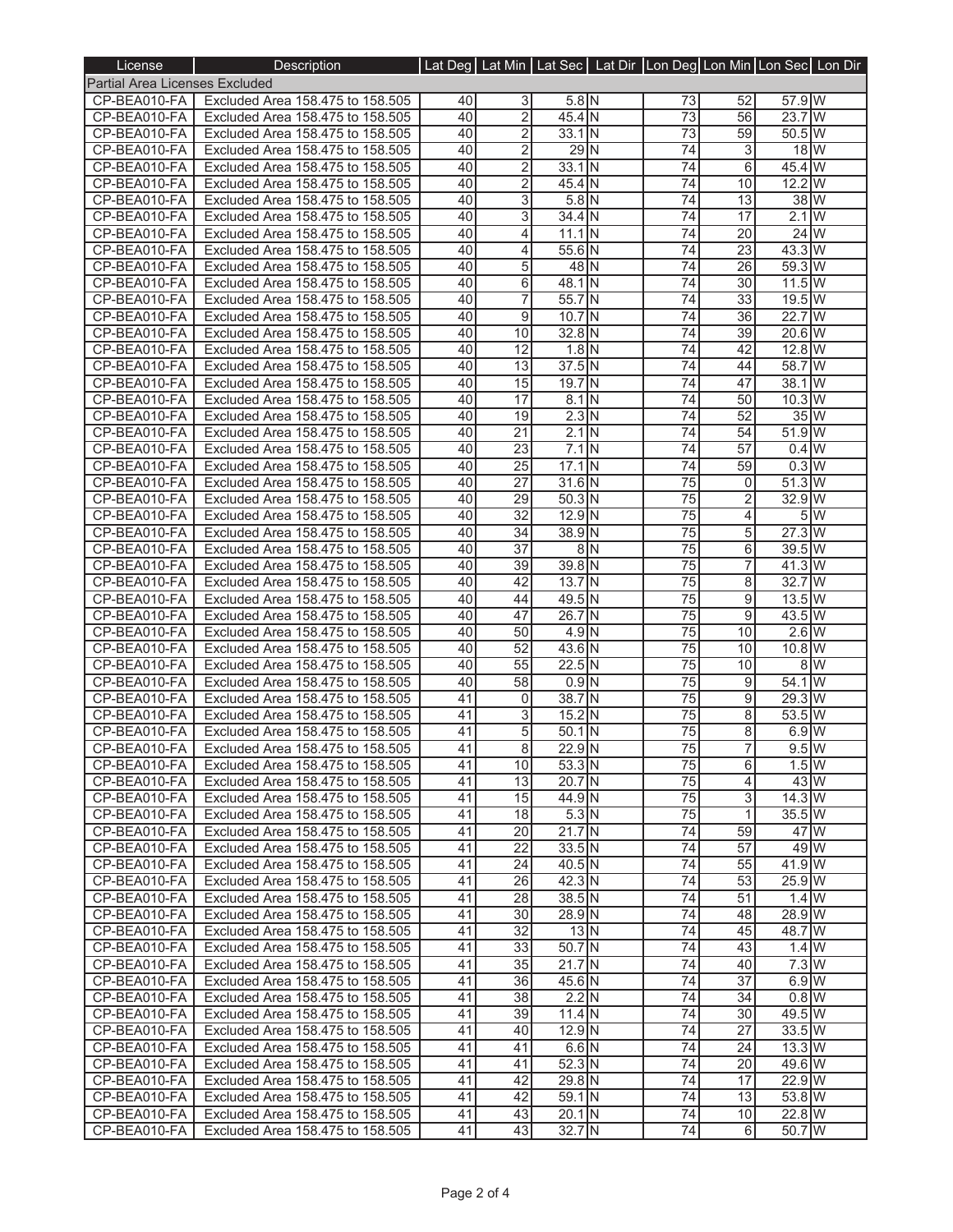| License                               | <b>Description</b>                                                   |          |                 |                          |            | Lat Deg   Lat Min   Lat Sec   Lat Dir   Lon Deg   Lon Min   Lon Sec   Lon Dir |                 |                            |    |
|---------------------------------------|----------------------------------------------------------------------|----------|-----------------|--------------------------|------------|-------------------------------------------------------------------------------|-----------------|----------------------------|----|
| <b>Partial Area Licenses Excluded</b> |                                                                      |          |                 |                          |            |                                                                               |                 |                            |    |
|                                       | CP-BEA010-FA   Excluded Area 158.475 to 158.505                      | 40       | $\overline{3}$  | $5.8$ N                  |            | 73                                                                            | 52              | 57.9W                      |    |
| CP-BEA010-FA                          | Excluded Area 158.475 to 158.505                                     | 40       | $\overline{2}$  | $45.4$ N                 |            | $\overline{73}$                                                               | 56              | $23.7$ W                   |    |
| CP-BEA010-FA                          | Excluded Area 158.475 to 158.505                                     | 40       | 2               | $33.1$ N                 |            | 73                                                                            | 59              | $50.5$ W                   |    |
| CP-BEA010-FA                          | Excluded Area 158,475 to 158,505                                     | 40       | 2               | 29N                      |            | 74                                                                            | 3               | $18$ M                     |    |
| CP-BEA010-FA                          | Excluded Area 158.475 to 158.505                                     | 40       | $\overline{2}$  | $33.1$ N                 |            | $\overline{74}$                                                               | 6               | 45.4W                      |    |
| CP-BEA010-FA                          | Excluded Area 158.475 to 158.505                                     | 40       | 2               | $45.4$ N                 |            | 74                                                                            | 10              | $12.2$ W                   |    |
| CP-BEA010-FA                          | Excluded Area 158.475 to 158.505                                     | 40       | 3               | $5.8$ N                  |            | 74                                                                            | 13              | 38W                        |    |
| CP-BEA010-FA                          | Excluded Area 158.475 to 158.505                                     | 40       | 3               | $34.4$ N                 |            | 74                                                                            | 17              | $2.1$ W                    |    |
| CP-BEA010-FA                          | Excluded Area 158.475 to 158.505                                     | 40       | 4               | $11.1$ N                 |            | 74                                                                            | 20              | 24W                        |    |
| CP-BEA010-FA                          | Excluded Area 158.475 to 158.505                                     | 40       | 4               | 55.6 N                   |            | 74                                                                            | $\overline{23}$ | $43.3$ W                   |    |
| CP-BEA010-FA                          | Excluded Area 158,475 to 158,505                                     | 40       | 5               | 48 N                     |            | 74                                                                            | 26              | 59.3 W                     |    |
| CP-BEA010-FA                          | Excluded Area 158.475 to 158.505                                     | 40       | 6               | $48.1$ N                 |            | 74                                                                            | 30              | $11.5$ W                   |    |
| CP-BEA010-FA                          | Excluded Area 158.475 to 158.505                                     | 40       | 7               | 55.7 N                   |            | 74                                                                            | 33              | $19.5$ W                   |    |
| CP-BEA010-FA                          | Excluded Area 158.475 to 158.505                                     | 40       | 9               | $10.7$ N                 |            | 74                                                                            | 36              | 22.7 W                     |    |
| CP-BEA010-FA                          | Excluded Area 158.475 to 158.505                                     | 40       | 10              | 32.8 N                   |            | 74                                                                            | 39              | $20.6$ W                   |    |
| CP-BEA010-FA                          | Excluded Area 158.475 to 158.505                                     | 40       | 12              | $1.8$ N                  |            | 74                                                                            | 42              | $12.8$ W                   |    |
| CP-BEA010-FA                          | Excluded Area 158.475 to 158.505                                     | 40       | 13              | 37.5 N                   |            | 74                                                                            | 44              | 58.7W                      |    |
| CP-BEA010-FA                          | Excluded Area 158.475 to 158.505                                     | 40       | 15              | 19.7 N                   |            | 74                                                                            | 47              | $38.1$ W                   |    |
| CP-BEA010-FA                          | Excluded Area 158.475 to 158.505                                     | 40       | 17              | $8.1$ N                  |            | $\overline{74}$                                                               | 50              | 10.3W                      |    |
| CP-BEA010-FA                          | Excluded Area 158.475 to 158.505                                     | 40       | 19              | $2.3$ N                  |            | 74                                                                            | 52              | 35W                        |    |
| CP-BEA010-FA                          | Excluded Area 158.475 to 158.505                                     | 40       | 21              | $2.1$ N                  |            | 74                                                                            | 54              | 51.9W                      |    |
| CP-BEA010-FA                          | Excluded Area 158.475 to 158.505                                     | 40       | 23              | $7.1\overline{\text{N}}$ |            | 74                                                                            | 57              | $0.4\overline{\text{W}}$   |    |
| CP-BEA010-FA                          | Excluded Area 158.475 to 158.505                                     | 40       | 25              | $17.1$ N                 |            | 74                                                                            | 59              | $0.3$ W                    |    |
| CP-BEA010-FA                          | Excluded Area 158.475 to 158.505                                     | 40       | 27              | 31.6 N                   |            | 75                                                                            | 0               | $51.3$ W                   |    |
| CP-BEA010-FA                          | Excluded Area 158.475 to 158.505                                     | 40       | 29              | $50.3$ N                 |            | $\overline{75}$                                                               | $\overline{2}$  | 32.9W                      |    |
| CP-BEA010-FA                          | Excluded Area 158.475 to 158.505                                     | 40       | 32              | 12.9 <sub>N</sub>        |            | 75                                                                            | 4               |                            | 5W |
| CP-BEA010-FA                          | Excluded Area 158.475 to 158.505                                     | 40       | 34              | $38.9$ N                 |            | 75                                                                            | 5               | $27.3$ W                   |    |
| CP-BEA010-FA                          | Excluded Area 158.475 to 158.505                                     | 40       | 37              |                          | $8\vert N$ | $\overline{75}$                                                               | 6               | $39.5$ W                   |    |
| CP-BEA010-FA                          | Excluded Area 158.475 to 158.505                                     | 40       | 39<br>42        | 39.8 N                   |            | 75                                                                            | 7<br>8          | 41.3W                      |    |
| CP-BEA010-FA<br>CP-BEA010-FA          | Excluded Area 158.475 to 158.505<br>Excluded Area 158.475 to 158.505 | 40<br>40 | 44              | $13.7$ N<br>49.5 N       |            | 75<br>75                                                                      | 9               | 32.7 W<br>$13.5$ W         |    |
| CP-BEA010-FA                          | Excluded Area 158.475 to 158.505                                     | 40       | 47              | 26.7 N                   |            | $\overline{75}$                                                               | $9\,$           | 43.5 W                     |    |
| CP-BEA010-FA                          | Excluded Area 158.475 to 158.505                                     | 40       | 50              | $4.9$ N                  |            | $\overline{75}$                                                               | 10              | 2.6W                       |    |
| CP-BEA010-FA                          | Excluded Area 158.475 to 158.505                                     | 40       | 52              | 43.6 N                   |            | 75                                                                            | 10              | $10.8$ W                   |    |
| CP-BEA010-FA                          | Excluded Area 158.475 to 158.505                                     | 40       | 55              | 22.5N                    |            | 75                                                                            | 10              |                            | 8W |
| CP-BEA010-FA                          | Excluded Area 158,475 to 158,505                                     | 40       | 58              | $0.9$ N                  |            | 75                                                                            | 9               | 54.1 W                     |    |
| CP-BEA010-FA                          | Excluded Area 158.475 to 158.505                                     | 41       | 0               | 38.7 N                   |            | $\overline{75}$                                                               | $9\,$           | $29.3$ W                   |    |
| CP-BEA010-FA                          | Excluded Area 158.475 to 158.505                                     | 41       | 3               | 15.2 N                   |            | 75                                                                            | 8               | 53.5 W                     |    |
| CP-BEA010-FA                          | Excluded Area 158.475 to 158.505                                     | 41       | 5               | 50.1 <sub>N</sub>        |            | 75                                                                            | 8               | 6.9W                       |    |
| CP-BEA010-FA                          | Excluded Area 158.475 to 158.505                                     | 41       | 8 <sup>1</sup>  | 22.9 N                   |            | 75                                                                            | $\overline{7}$  | 9.5W                       |    |
| CP-BEA010-FA                          | Excluded Area 158.475 to 158.505                                     | 41       | 10              | $53.3$ N                 |            | 75                                                                            | 6               | $1.5$ W                    |    |
| CP-BEA010-FA                          | Excluded Area 158.475 to 158.505                                     | 41       | 13              | 20.7 N                   |            | $\overline{75}$                                                               | 4               | 43W                        |    |
| CP-BEA010-FA                          | Excluded Area 158.475 to 158.505                                     | 41       | 15              | 44.9 N                   |            | $\overline{75}$                                                               | $\sqrt{3}$      | $14.3 \overline{\text{W}}$ |    |
| CP-BEA010-FA                          | Excluded Area 158.475 to 158.505                                     | 41       | 18              | $5.3$ N                  |            | 75                                                                            | $\mathbf{1}$    | 35.5 W                     |    |
| CP-BEA010-FA                          | Excluded Area 158,475 to 158,505                                     | 41       | 20              | $21.7$ N                 |            | 74                                                                            | 59              | 47 W                       |    |
| CP-BEA010-FA                          | Excluded Area 158.475 to 158.505                                     | 41       | $\overline{22}$ | $33.5$ N                 |            | $\overline{74}$                                                               | 57              | 49W                        |    |
| CP-BEA010-FA                          | Excluded Area 158.475 to 158.505                                     | 41       | 24              | $40.5$ N                 |            | 74                                                                            | 55              | 41.9W                      |    |
| CP-BEA010-FA                          | Excluded Area 158.475 to 158.505                                     | 41       | 26              | $42.3$ N                 |            | 74                                                                            | 53              | 25.9 W                     |    |
| CP-BEA010-FA                          | Excluded Area 158.475 to 158.505                                     | 41       | 28              | $38.5$ N                 |            | 74                                                                            | 51              | $1.4 \overline{\text{W}}$  |    |
| CP-BEA010-FA                          | Excluded Area 158.475 to 158.505                                     | 41       | 30              | 28.9 N                   |            | 74                                                                            | 48              | 28.9W                      |    |
| CP-BEA010-FA                          | Excluded Area 158.475 to 158.505                                     | 41       | 32              | $13\vert N$              |            | 74                                                                            | 45              | 48.7W                      |    |
| CP-BEA010-FA                          | Excluded Area 158,475 to 158,505                                     | 41       | 33              | 50.7 N                   |            | 74                                                                            | 43              | $1.4$ W                    |    |
| CP-BEA010-FA                          | Excluded Area 158.475 to 158.505                                     | 41       | 35              | $21.7$ N                 |            | 74                                                                            | 40              | $7.3$ W                    |    |
| CP-BEA010-FA                          | Excluded Area 158.475 to 158.505                                     | 41       | 36              | $45.6\text{ N}$          |            | 74                                                                            | 37              | 6.9W                       |    |
| CP-BEA010-FA                          | Excluded Area 158.475 to 158.505                                     | 41       | 38              | 2.2N                     |            | 74                                                                            | 34              | $0.8$ W                    |    |
| CP-BEA010-FA                          | Excluded Area 158.475 to 158.505                                     | 41       | 39              | $11.4$ N                 |            | 74                                                                            | 30              | 49.5 W                     |    |
| CP-BEA010-FA                          | Excluded Area 158.475 to 158.505                                     | 41       | 40              | $12.9$ N                 |            | 74                                                                            | 27              | 33.5 W                     |    |
| CP-BEA010-FA                          | Excluded Area 158.475 to 158.505                                     | 41       | 41              | $6.6$ N                  |            | 74                                                                            | 24              | 13.3W                      |    |
| CP-BEA010-FA                          | Excluded Area 158.475 to 158.505                                     | 41       | 41              | $52.3$ N                 |            | 74                                                                            | 20              | 49.6 W                     |    |
| CP-BEA010-FA                          | Excluded Area 158.475 to 158.505                                     | 41       | 42              | $29.8$ N                 |            | 74                                                                            | 17              | 22.9 W                     |    |
| CP-BEA010-FA                          | Excluded Area 158.475 to 158.505                                     | 41       | 42              | 59.1 N                   |            | 74                                                                            | 13              | 53.8 W                     |    |
| CP-BEA010-FA                          | Excluded Area 158.475 to 158.505                                     | 41       | 43              | $20.1$ N                 |            | 74                                                                            | 10 <sup>1</sup> | $22.8 \overline{\text{W}}$ |    |
| CP-BEA010-FA                          | Excluded Area 158.475 to 158.505                                     | 41       | 43 <sub>1</sub> | 32.7 <sub>N</sub>        |            | 74                                                                            | $6 \mid$        | 50.7 W                     |    |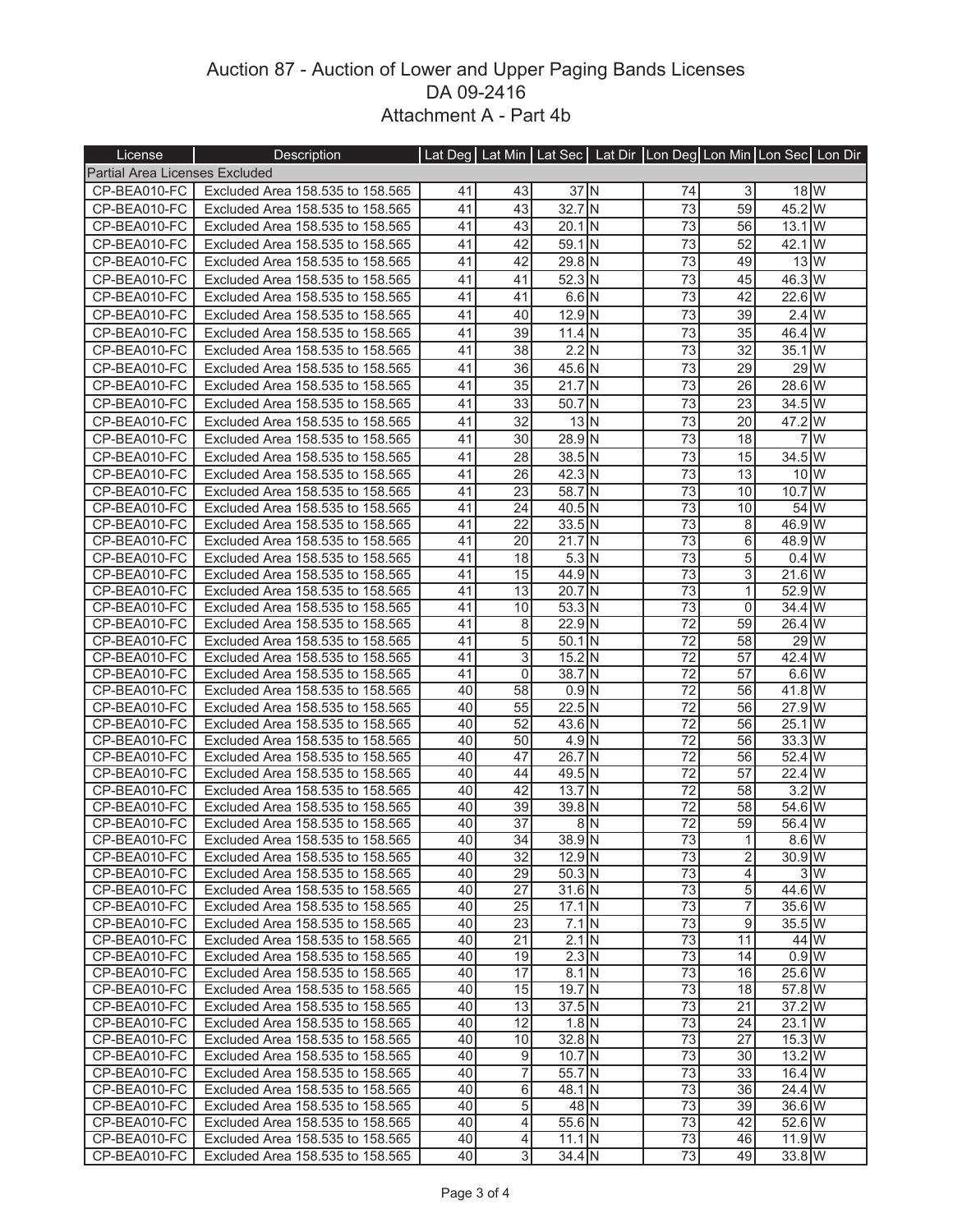## Auction 87 - Auction of Lower and Upper Paging Bands Licenses DA 09-2416 Attachment A - Part 4b

| License                        | Description                                                          |          |                | Lat Deg   Lat Min   Lat Sec   Lat Dir   Lon Deg   Lon Min   Lon Sec   Lon Dir |    |                       |                 |                           |    |
|--------------------------------|----------------------------------------------------------------------|----------|----------------|-------------------------------------------------------------------------------|----|-----------------------|-----------------|---------------------------|----|
| Partial Area Licenses Excluded |                                                                      |          |                |                                                                               |    |                       |                 |                           |    |
| CP-BEA010-FC                   | Excluded Area 158.535 to 158.565                                     | 41       | 43             | $37$ N                                                                        |    | 74                    | 3               | $18$ W                    |    |
| CP-BEA010-FC                   | Excluded Area 158.535 to 158.565                                     | 41       | 43             | $32.7$ N                                                                      |    | 73                    | 59              | 45.2 W                    |    |
| CP-BEA010-FC                   | Excluded Area 158.535 to 158.565                                     | 41       | 43             | $20.1$ N                                                                      |    | 73                    | 56              | $13.1$ W                  |    |
| CP-BEA010-FC                   | Excluded Area 158.535 to 158.565                                     | 41       | 42             | 59.1 <sup>IN</sup>                                                            |    | 73                    | 52              | 42.1 W                    |    |
| CP-BEA010-FC                   | Excluded Area 158.535 to 158.565                                     | 41       | 42             | $29.8$ N                                                                      |    | 73                    | 49              | $13$ W                    |    |
| CP-BEA010-FC                   | Excluded Area 158.535 to 158.565                                     | 41       | 41             | $52.3$ N                                                                      |    | 73                    | 45              | 46.3 W                    |    |
| CP-BEA010-FC                   | Excluded Area 158.535 to 158.565                                     | 41       | 41             | $6.6$ N                                                                       |    | 73                    | 42              | 22.6 W                    |    |
| CP-BEA010-FC                   | Excluded Area 158.535 to 158.565                                     | 41       | 40             | $12.9$ N                                                                      |    | 73                    | 39              | $2.4 \overline{\text{W}}$ |    |
| CP-BEA010-FC                   | Excluded Area 158,535 to 158,565                                     | 41       | 39             | $11.4$ N                                                                      |    | 73                    | 35              | 46.4 W                    |    |
| CP-BEA010-FC                   | Excluded Area 158.535 to 158.565                                     | 41       | 38             | $2.2$ N                                                                       |    | 73                    | 32              | $35.1$ W                  |    |
| CP-BEA010-FC                   | Excluded Area 158.535 to 158.565                                     | 41       | 36             | 45.6 N                                                                        |    | 73                    | 29              | 29 W                      |    |
| CP-BEA010-FC                   | Excluded Area 158.535 to 158.565                                     | 41       | 35             | $21.7$ N                                                                      |    | 73                    | 26              | 28.6 W                    |    |
| CP-BEA010-FC                   | Excluded Area 158.535 to 158.565                                     | 41       | 33             | 50.7 N                                                                        |    | 73                    | 23              | 34.5 W                    |    |
| CP-BEA010-FC                   | Excluded Area 158.535 to 158.565                                     | 41       | 32             | $13\vert N$                                                                   |    | 73                    | 20              | 47.2 W                    |    |
|                                | Excluded Area 158.535 to 158.565                                     |          |                |                                                                               |    |                       |                 |                           | 7W |
| CP-BEA010-FC                   |                                                                      | 41       | 30             | 28.9 N                                                                        |    | 73                    | 18              |                           |    |
| CP-BEA010-FC                   | Excluded Area 158.535 to 158.565                                     | 41       | 28             | $38.5$ N                                                                      |    | 73                    | 15              | 34.5 W                    |    |
| CP-BEA010-FC                   | Excluded Area 158.535 to 158.565                                     | 41       | 26             | 42.3 N                                                                        |    | 73                    | 13              | $10\overline{W}$          |    |
| CP-BEA010-FC                   | Excluded Area 158.535 to 158.565                                     | 41       | 23             | 58.7 N<br>$40.5$ <sub>N</sub>                                                 |    | 73<br>73              | 10<br>10        | 10.7W<br>54 W             |    |
| CP-BEA010-FC<br>CP-BEA010-FC   | Excluded Area 158.535 to 158.565                                     | 41       | 24<br>22       |                                                                               |    |                       |                 | $46.9$ W                  |    |
| CP-BEA010-FC                   | Excluded Area 158.535 to 158.565<br>Excluded Area 158.535 to 158.565 | 41<br>41 | 20             | $33.5$ N<br>$21.7$ N                                                          |    | 73<br>$\overline{73}$ | 8<br>6          | 48.9 W                    |    |
| CP-BEA010-FC                   | Excluded Area 158.535 to 158.565                                     | 41       | 18             | $5.3$ N                                                                       |    | 73                    | 5               | 0.4W                      |    |
| CP-BEA010-FC                   | Excluded Area 158.535 to 158.565                                     | 41       | 15             | 44.9 N                                                                        |    | 73                    | 3               | 21.6W                     |    |
| CP-BEA010-FC                   | Excluded Area 158.535 to 158.565                                     | 41       | 13             | 20.7 N                                                                        |    | 73                    | 1               | 52.9 W                    |    |
| CP-BEA010-FC                   | Excluded Area 158.535 to 158.565                                     | 41       | 10             | 53.3 N                                                                        |    | 73                    | $\Omega$        | 34.4 W                    |    |
| CP-BEA010-FC                   | Excluded Area 158.535 to 158.565                                     | 41       | 8              | 22.9 N                                                                        |    | 72                    | 59              | 26.4 W                    |    |
| CP-BEA010-FC                   | Excluded Area 158.535 to 158.565                                     | 41       | 5              | $50.1$ N                                                                      |    | $\overline{72}$       | 58              | 29 W                      |    |
| CP-BEA010-FC                   | Excluded Area 158.535 to 158.565                                     | 41       | 3              | $15.2$ N                                                                      |    | 72                    | 57              | 42.4 W                    |    |
| CP-BEA010-FC                   | Excluded Area 158.535 to 158.565                                     | 41       | $\mathbf 0$    | 38.7 N                                                                        |    | $\overline{72}$       | 57              | 6.6W                      |    |
| CP-BEA010-FC                   | Excluded Area 158.535 to 158.565                                     | 40       | 58             | $0.9$ N                                                                       |    | 72                    | 56              | 41.8 W                    |    |
| CP-BEA010-FC                   | Excluded Area 158.535 to 158.565                                     | 40       | 55             | 22.5N                                                                         |    | $\overline{72}$       | 56              | 27.9W                     |    |
| CP-BEA010-FC                   | Excluded Area 158.535 to 158.565                                     | 40       | 52             | 43.6 N                                                                        |    | 72                    | 56              | $25.1$ W                  |    |
| CP-BEA010-FC                   | Excluded Area 158.535 to 158.565                                     | 40       | 50             | $4.9$ N                                                                       |    | 72                    | 56              | 33.3W                     |    |
| CP-BEA010-FC                   | Excluded Area 158.535 to 158.565                                     | 40       | 47             | 26.7 N                                                                        |    | 72                    | 56              | 52.4W                     |    |
| CP-BEA010-FC                   | Excluded Area 158.535 to 158.565                                     | 40       | 44             | 49.5 N                                                                        |    | 72                    | 57              | 22.4 W                    |    |
| CP-BEA010-FC                   | Excluded Area 158.535 to 158.565                                     | 40       | 42             | $13.7$ N                                                                      |    | $\overline{72}$       | 58              | 3.2W                      |    |
| CP-BEA010-FC                   | Excluded Area 158,535 to 158,565                                     | 40       | 39             | 39.8 N                                                                        |    | 72                    | 58              | 54.6 W                    |    |
| CP-BEA010-FC                   | Excluded Area 158.535 to 158.565                                     | 40       | 37             |                                                                               | 8N | $\overline{72}$       | 59              | 56.4 W                    |    |
| CP-BEA010-FC                   | Excluded Area 158.535 to 158.565                                     | 40       | 34             | $38.9$ N                                                                      |    | 73                    | $\mathbf{1}$    | 8.6W                      |    |
| CP-BEA010-FC                   | Excluded Area 158.535 to 158.565                                     | 40       | 32             | $12.9$ N                                                                      |    | 73                    | 2               | 30.9W                     |    |
| CP-BEA010-FC                   | Excluded Area 158.535 to 158.565                                     | 40       | 29             | $50.3$ N                                                                      |    | 73                    | 4               |                           | 3W |
| CP-BEA010-FC                   | Excluded Area 158.535 to 158.565                                     | 40       | 27             | $31.6$ N                                                                      |    | 73                    | 5               | 44.6 W                    |    |
| CP-BEA010-FC                   | Excluded Area 158.535 to 158.565                                     | 40       | 25             | $17.1\overline{\text{N}}$                                                     |    | 73                    | 7               | $35.6$ W                  |    |
| CP-BEA010-FC                   | Excluded Area 158.535 to 158.565                                     | 40<br>40 | 23<br>21       | $7.1$ N                                                                       |    | 73<br>73              | 9<br>11         | 35.5 W<br>44 W            |    |
| CP-BEA010-FC<br>CP-BEA010-FC   | Excluded Area 158.535 to 158.565<br>Excluded Area 158.535 to 158.565 | 40       | 19             | $2.1$ N<br>$2.3$ N                                                            |    | 73                    | 14              | 0.9W                      |    |
| CP-BEA010-FC                   | Excluded Area 158.535 to 158.565                                     | 40       | 17             | $8.1$ N                                                                       |    | 73                    | 16              | 25.6 W                    |    |
| CP-BEA010-FC                   | Excluded Area 158.535 to 158.565                                     | 40       | 15             | $19.7$ N                                                                      |    | 73                    | 18              | 57.8 W                    |    |
| CP-BEA010-FC                   | Excluded Area 158.535 to 158.565                                     | 40       | 13             | $37.5$ N                                                                      |    | 73                    | 21              | 37.2 W                    |    |
| CP-BEA010-FC                   | Excluded Area 158.535 to 158.565                                     | 40       | 12             | 1.8N                                                                          |    | 73                    | $\overline{24}$ | 23.1W                     |    |
| CP-BEA010-FC                   | Excluded Area 158.535 to 158.565                                     | 40       | 10             | $32.8$ N                                                                      |    | 73                    | 27              | 15.3 W                    |    |
| CP-BEA010-FC                   | Excluded Area 158.535 to 158.565                                     | 40       | 9              | $10.7$ N                                                                      |    | $\overline{73}$       | 30              | $13.2$ W                  |    |
| CP-BEA010-FC                   | Excluded Area 158.535 to 158.565                                     | 401      | $\overline{7}$ | $55.7$ N                                                                      |    | 73                    | 33              | 16.4W                     |    |
| CP-BEA010-FC                   | Excluded Area 158.535 to 158.565                                     | 40       | 6              | $48.1$ N                                                                      |    | $\overline{73}$       | $\overline{36}$ | 24.4W                     |    |
| CP-BEA010-FC                   | Excluded Area 158.535 to 158.565                                     | 40       | 5              | 48 N                                                                          |    | 73                    | 39              | $36.6$ W                  |    |
| CP-BEA010-FC                   | Excluded Area 158.535 to 158.565                                     | 40       | 4              | $55.6$ N                                                                      |    | 73                    | 42              | 52.6 W                    |    |
| CP-BEA010-FC                   | Excluded Area 158.535 to 158.565                                     | 40       | 4              | $11.1$ N                                                                      |    | 73                    | 46              | 11.9W                     |    |
| CP-BEA010-FC                   | Excluded Area 158.535 to 158.565                                     | 40       | $\overline{3}$ | $34.4$ N                                                                      |    | 73                    | 49              | 33.8 W                    |    |